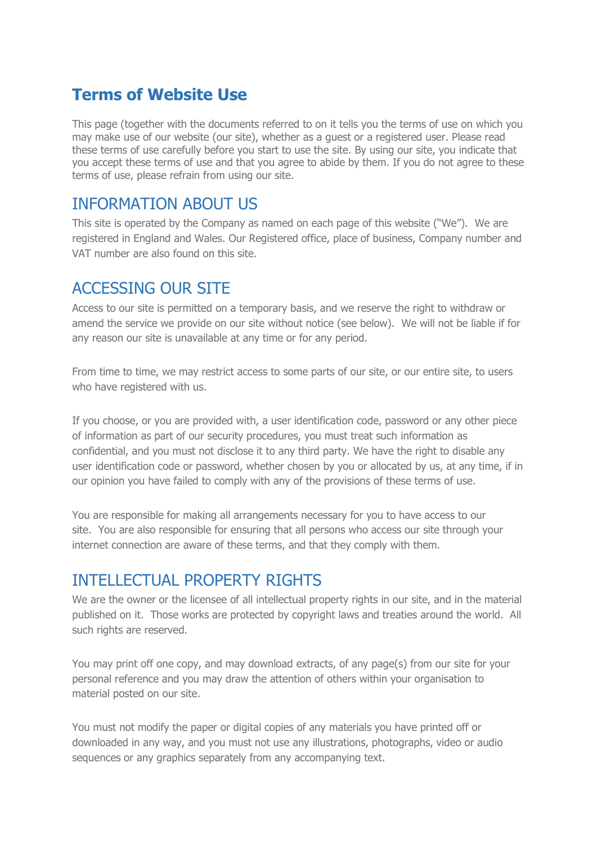## **Terms of Website Use**

This page (together with the documents referred to on it tells you the terms of use on which you may make use of our website (our site), whether as a guest or a registered user. Please read these terms of use carefully before you start to use the site. By using our site, you indicate that you accept these terms of use and that you agree to abide by them. If you do not agree to these terms of use, please refrain from using our site.

#### INFORMATION ABOUT US

This site is operated by the Company as named on each page of this website ("We"). We are registered in England and Wales. Our Registered office, place of business, Company number and VAT number are also found on this site.

#### ACCESSING OUR SITE

Access to our site is permitted on a temporary basis, and we reserve the right to withdraw or amend the service we provide on our site without notice (see below). We will not be liable if for any reason our site is unavailable at any time or for any period.

From time to time, we may restrict access to some parts of our site, or our entire site, to users who have registered with us.

If you choose, or you are provided with, a user identification code, password or any other piece of information as part of our security procedures, you must treat such information as confidential, and you must not disclose it to any third party. We have the right to disable any user identification code or password, whether chosen by you or allocated by us, at any time, if in our opinion you have failed to comply with any of the provisions of these terms of use.

You are responsible for making all arrangements necessary for you to have access to our site. You are also responsible for ensuring that all persons who access our site through your internet connection are aware of these terms, and that they comply with them.

## INTELLECTUAL PROPERTY RIGHTS

We are the owner or the licensee of all intellectual property rights in our site, and in the material published on it. Those works are protected by copyright laws and treaties around the world. All such rights are reserved.

You may print off one copy, and may download extracts, of any page(s) from our site for your personal reference and you may draw the attention of others within your organisation to material posted on our site.

You must not modify the paper or digital copies of any materials you have printed off or downloaded in any way, and you must not use any illustrations, photographs, video or audio sequences or any graphics separately from any accompanying text.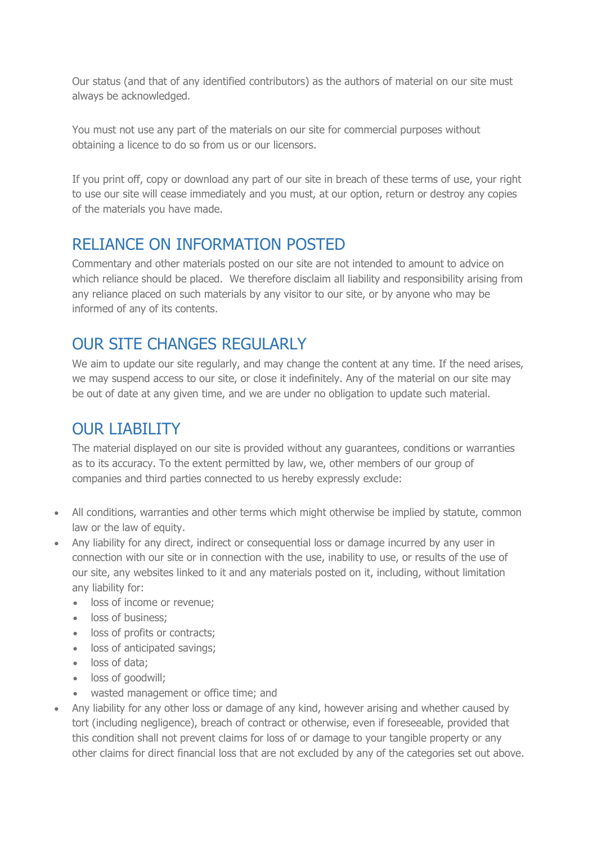Our status (and that of any identified contributors) as the authors of material on our site must always be acknowledged.

You must not use any part of the materials on our site for commercial purposes without obtaining a licence to do so from us or our licensors.

If you print off, copy or download any part of our site in breach of these terms of use, your right to use our site will cease immediately and you must, at our option, return or destroy any copies of the materials you have made.

#### RELIANCE ON INFORMATION POSTED

Commentary and other materials posted on our site are not intended to amount to advice on which reliance should be placed. We therefore disclaim all liability and responsibility arising from any reliance placed on such materials by any visitor to our site, or by anyone who may be informed of any of its contents.

## OUR SITE CHANGES REGULARLY

We aim to update our site regularly, and may change the content at any time. If the need arises, we may suspend access to our site, or close it indefinitely. Any of the material on our site may be out of date at any given time, and we are under no obligation to update such material.

# OUR LIABILITY

The material displayed on our site is provided without any guarantees, conditions or warranties as to its accuracy. To the extent permitted by law, we, other members of our group of companies and third parties connected to us hereby expressly exclude:

- All conditions, warranties and other terms which might otherwise be implied by statute, common law or the law of equity.
- Any liability for any direct, indirect or consequential loss or damage incurred by any user in connection with our site or in connection with the use, inability to use, or results of the use of our site, any websites linked to it and any materials posted on it, including, without limitation any liability for:
	- **.** loss of income or revenue:
	- loss of business:
	- loss of profits or contracts:
	- loss of anticipated savings;
	- loss of data;
	- loss of goodwill:
	- wasted management or office time; and
- Any liability for any other loss or damage of any kind, however arising and whether caused by tort (including negligence), breach of contract or otherwise, even if foreseeable, provided that this condition shall not prevent claims for loss of or damage to your tangible property or any other claims for direct financial loss that are not excluded by any of the categories set out above.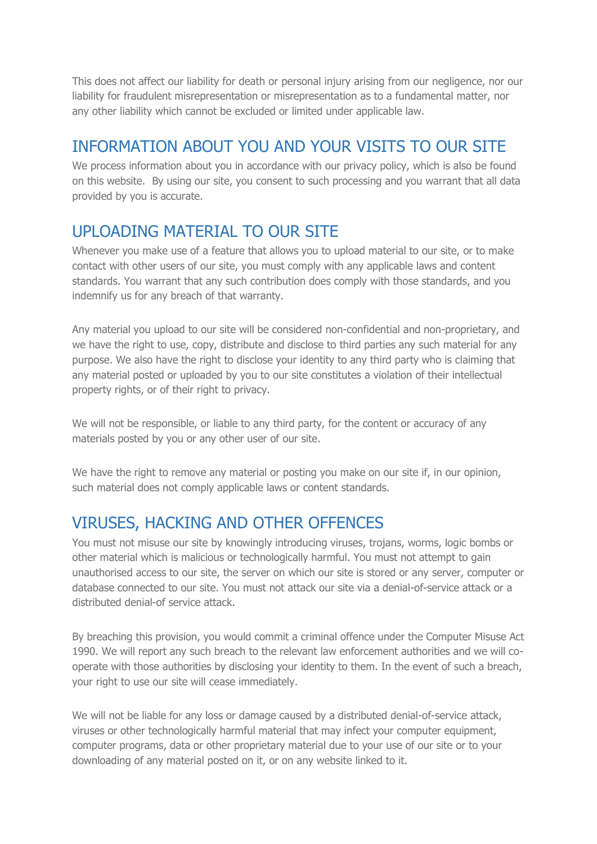This does not affect our liability for death or personal injury arising from our negligence, nor our liability for fraudulent misrepresentation or misrepresentation as to a fundamental matter, nor any other liability which cannot be excluded or limited under applicable law.

## INFORMATION ABOUT YOU AND YOUR VISITS TO OUR SITE

We process information about you in accordance with our privacy policy, which is also be found on this website. By using our site, you consent to such processing and you warrant that all data provided by you is accurate.

## UPLOADING MATERIAL TO OUR SITE

Whenever you make use of a feature that allows you to upload material to our site, or to make contact with other users of our site, you must comply with any applicable laws and content standards. You warrant that any such contribution does comply with those standards, and you indemnify us for any breach of that warranty.

Any material you upload to our site will be considered non-confidential and non-proprietary, and we have the right to use, copy, distribute and disclose to third parties any such material for any purpose. We also have the right to disclose your identity to any third party who is claiming that any material posted or uploaded by you to our site constitutes a violation of their intellectual property rights, or of their right to privacy.

We will not be responsible, or liable to any third party, for the content or accuracy of any materials posted by you or any other user of our site.

We have the right to remove any material or posting you make on our site if, in our opinion, such material does not comply applicable laws or content standards.

# VIRUSES, HACKING AND OTHER OFFENCES

You must not misuse our site by knowingly introducing viruses, trojans, worms, logic bombs or other material which is malicious or technologically harmful. You must not attempt to gain unauthorised access to our site, the server on which our site is stored or any server, computer or database connected to our site. You must not attack our site via a denial-of-service attack or a distributed denial-of service attack.

By breaching this provision, you would commit a criminal offence under the Computer Misuse Act 1990. We will report any such breach to the relevant law enforcement authorities and we will cooperate with those authorities by disclosing your identity to them. In the event of such a breach, your right to use our site will cease immediately.

We will not be liable for any loss or damage caused by a distributed denial-of-service attack, viruses or other technologically harmful material that may infect your computer equipment, computer programs, data or other proprietary material due to your use of our site or to your downloading of any material posted on it, or on any website linked to it.